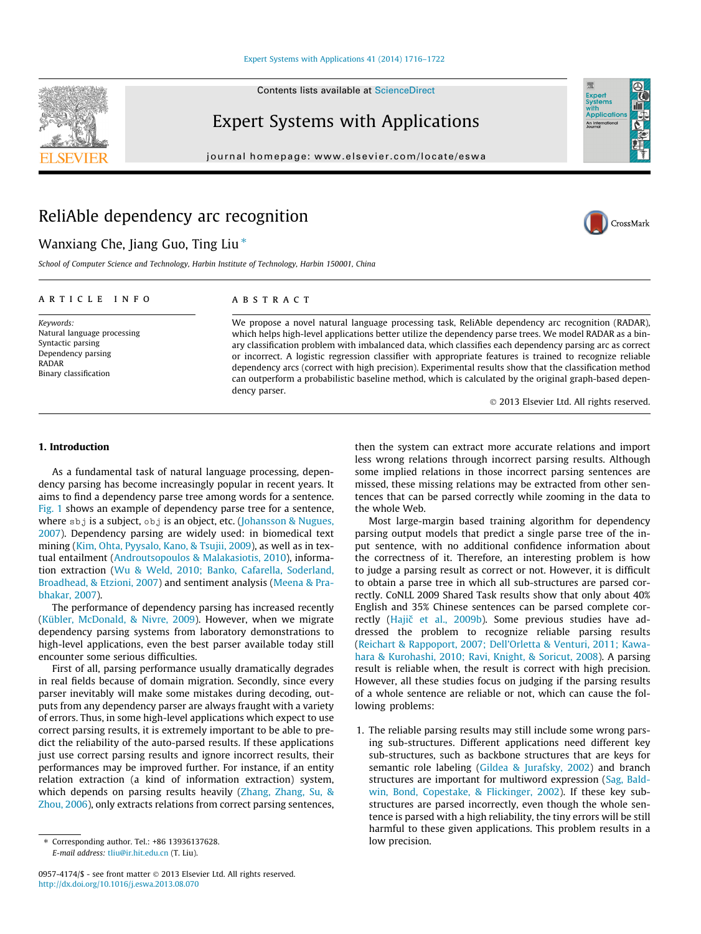Contents lists available at [ScienceDirect](http://www.sciencedirect.com/science/journal/09574174)

# Expert Systems with Applications

journal homepage: [www.elsevier.com/locate/eswa](http://www.elsevier.com/locate/eswa)

# ReliAble dependency arc recognition

# Wanxiang Che, Jiang Guo, Ting Liu  $*$

School of Computer Science and Technology, Harbin Institute of Technology, Harbin 150001, China

#### article info

Keywords: Natural language processing Syntactic parsing Dependency parsing RADAR Binary classification

# ABSTRACT

We propose a novel natural language processing task, ReliAble dependency arc recognition (RADAR), which helps high-level applications better utilize the dependency parse trees. We model RADAR as a binary classification problem with imbalanced data, which classifies each dependency parsing arc as correct or incorrect. A logistic regression classifier with appropriate features is trained to recognize reliable dependency arcs (correct with high precision). Experimental results show that the classification method can outperform a probabilistic baseline method, which is calculated by the original graph-based dependency parser.

- 2013 Elsevier Ltd. All rights reserved.

### 1. Introduction

As a fundamental task of natural language processing, dependency parsing has become increasingly popular in recent years. It aims to find a dependency parse tree among words for a sentence. [Fig. 1](#page-1-0) shows an example of dependency parse tree for a sentence, where sbj is a subject, obj is an object, etc. [\(Johansson & Nugues,](#page-5-0) [2007\)](#page-5-0). Dependency parsing are widely used: in biomedical text mining ([Kim, Ohta, Pyysalo, Kano, & Tsujii, 2009](#page-6-0)), as well as in textual entailment [\(Androutsopoulos & Malakasiotis, 2010](#page-5-0)), information extraction [\(Wu & Weld, 2010; Banko, Cafarella, Soderland,](#page-6-0) [Broadhead, & Etzioni, 2007\)](#page-6-0) and sentiment analysis [\(Meena & Pra](#page-6-0)[bhakar, 2007](#page-6-0)).

The performance of dependency parsing has increased recently ([Kübler, McDonald, & Nivre, 2009\)](#page-6-0). However, when we migrate dependency parsing systems from laboratory demonstrations to high-level applications, even the best parser available today still encounter some serious difficulties.

First of all, parsing performance usually dramatically degrades in real fields because of domain migration. Secondly, since every parser inevitably will make some mistakes during decoding, outputs from any dependency parser are always fraught with a variety of errors. Thus, in some high-level applications which expect to use correct parsing results, it is extremely important to be able to predict the reliability of the auto-parsed results. If these applications just use correct parsing results and ignore incorrect results, their performances may be improved further. For instance, if an entity relation extraction (a kind of information extraction) system, which depends on parsing results heavily ([Zhang, Zhang, Su, &](#page-6-0) [Zhou, 2006](#page-6-0)), only extracts relations from correct parsing sentences, then the system can extract more accurate relations and import less wrong relations through incorrect parsing results. Although some implied relations in those incorrect parsing sentences are missed, these missing relations may be extracted from other sentences that can be parsed correctly while zooming in the data to the whole Web.

Most large-margin based training algorithm for dependency parsing output models that predict a single parse tree of the input sentence, with no additional confidence information about the correctness of it. Therefore, an interesting problem is how to judge a parsing result as correct or not. However, it is difficult to obtain a parse tree in which all sub-structures are parsed correctly. CoNLL 2009 Shared Task results show that only about 40% English and 35% Chinese sentences can be parsed complete correctly (Hajič [et al., 2009b](#page-5-0)). Some previous studies have addressed the problem to recognize reliable parsing results ([Reichart & Rappoport, 2007; Dell'Orletta & Venturi, 2011; Kawa](#page-6-0)[hara & Kurohashi, 2010; Ravi, Knight, & Soricut, 2008](#page-6-0)). A parsing result is reliable when, the result is correct with high precision. However, all these studies focus on judging if the parsing results of a whole sentence are reliable or not, which can cause the following problems:

1. The reliable parsing results may still include some wrong parsing sub-structures. Different applications need different key sub-structures, such as backbone structures that are keys for semantic role labeling ([Gildea & Jurafsky, 2002](#page-5-0)) and branch structures are important for multiword expression ([Sag, Bald](#page-6-0)[win, Bond, Copestake, & Flickinger, 2002\)](#page-6-0). If these key substructures are parsed incorrectly, even though the whole sentence is parsed with a high reliability, the tiny errors will be still harmful to these given applications. This problem results in a low precision.

<span id="page-0-0"></span>





<sup>⇑</sup> Corresponding author. Tel.: +86 13936137628. E-mail address: [tliu@ir.hit.edu.cn](mailto:tliu@ir.hit.edu.cn) (T. Liu).

<sup>0957-4174/\$ -</sup> see front matter © 2013 Elsevier Ltd. All rights reserved. <http://dx.doi.org/10.1016/j.eswa.2013.08.070>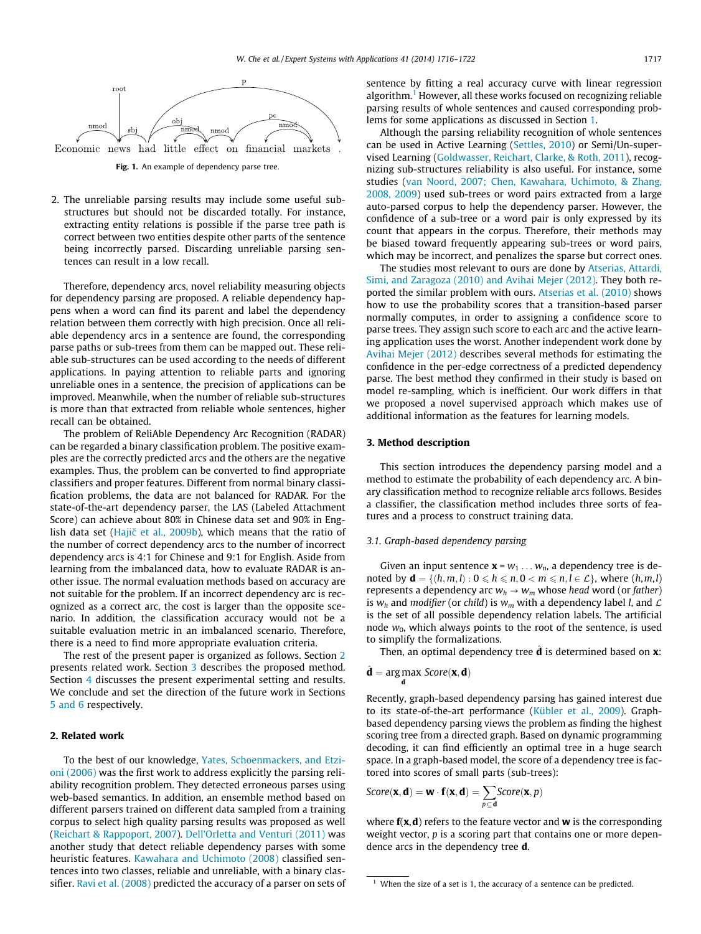<span id="page-1-0"></span>

Fig. 1. An example of dependency parse tree.

2. The unreliable parsing results may include some useful substructures but should not be discarded totally. For instance, extracting entity relations is possible if the parse tree path is correct between two entities despite other parts of the sentence being incorrectly parsed. Discarding unreliable parsing sentences can result in a low recall.

Therefore, dependency arcs, novel reliability measuring objects for dependency parsing are proposed. A reliable dependency happens when a word can find its parent and label the dependency relation between them correctly with high precision. Once all reliable dependency arcs in a sentence are found, the corresponding parse paths or sub-trees from them can be mapped out. These reliable sub-structures can be used according to the needs of different applications. In paying attention to reliable parts and ignoring unreliable ones in a sentence, the precision of applications can be improved. Meanwhile, when the number of reliable sub-structures is more than that extracted from reliable whole sentences, higher recall can be obtained.

The problem of ReliAble Dependency Arc Recognition (RADAR) can be regarded a binary classification problem. The positive examples are the correctly predicted arcs and the others are the negative examples. Thus, the problem can be converted to find appropriate classifiers and proper features. Different from normal binary classification problems, the data are not balanced for RADAR. For the state-of-the-art dependency parser, the LAS (Labeled Attachment Score) can achieve about 80% in Chinese data set and 90% in English data set (Hajič [et al., 2009b\)](#page-5-0), which means that the ratio of the number of correct dependency arcs to the number of incorrect dependency arcs is 4:1 for Chinese and 9:1 for English. Aside from learning from the imbalanced data, how to evaluate RADAR is another issue. The normal evaluation methods based on accuracy are not suitable for the problem. If an incorrect dependency arc is recognized as a correct arc, the cost is larger than the opposite scenario. In addition, the classification accuracy would not be a suitable evaluation metric in an imbalanced scenario. Therefore, there is a need to find more appropriate evaluation criteria.

The rest of the present paper is organized as follows. Section 2 presents related work. Section 3 describes the proposed method. Section [4](#page-3-0) discusses the present experimental setting and results. We conclude and set the direction of the future work in Sections [5 and 6](#page-5-0) respectively.

# 2. Related work

To the best of our knowledge, [Yates, Schoenmackers, and Etzi](#page-6-0)[oni \(2006\)](#page-6-0) was the first work to address explicitly the parsing reliability recognition problem. They detected erroneous parses using web-based semantics. In addition, an ensemble method based on different parsers trained on different data sampled from a training corpus to select high quality parsing results was proposed as well ([Reichart & Rappoport, 2007](#page-6-0)). [Dell'Orletta and Venturi \(2011\)](#page-5-0) was another study that detect reliable dependency parses with some heuristic features. [Kawahara and Uchimoto \(2008\)](#page-5-0) classified sentences into two classes, reliable and unreliable, with a binary classifier. [Ravi et al. \(2008\)](#page-6-0) predicted the accuracy of a parser on sets of

sentence by fitting a real accuracy curve with linear regression algorithm.<sup>1</sup> However, all these works focused on recognizing reliable parsing results of whole sentences and caused corresponding problems for some applications as discussed in Section [1](#page-0-0).

Although the parsing reliability recognition of whole sentences can be used in Active Learning ([Settles, 2010\)](#page-6-0) or Semi/Un-supervised Learning ([Goldwasser, Reichart, Clarke, & Roth, 2011\)](#page-5-0), recognizing sub-structures reliability is also useful. For instance, some studies [\(van Noord, 2007; Chen, Kawahara, Uchimoto, & Zhang,](#page-6-0) [2008, 2009](#page-6-0)) used sub-trees or word pairs extracted from a large auto-parsed corpus to help the dependency parser. However, the confidence of a sub-tree or a word pair is only expressed by its count that appears in the corpus. Therefore, their methods may be biased toward frequently appearing sub-trees or word pairs, which may be incorrect, and penalizes the sparse but correct ones.

The studies most relevant to ours are done by [Atserias, Attardi,](#page-5-0) [Simi, and Zaragoza \(2010\) and Avihai Mejer \(2012\)](#page-5-0). They both reported the similar problem with ours. [Atserias et al. \(2010\)](#page-5-0) shows how to use the probability scores that a transition-based parser normally computes, in order to assigning a confidence score to parse trees. They assign such score to each arc and the active learning application uses the worst. Another independent work done by [Avihai Mejer \(2012\)](#page-5-0) describes several methods for estimating the confidence in the per-edge correctness of a predicted dependency parse. The best method they confirmed in their study is based on model re-sampling, which is inefficient. Our work differs in that we proposed a novel supervised approach which makes use of additional information as the features for learning models.

# 3. Method description

This section introduces the dependency parsing model and a method to estimate the probability of each dependency arc. A binary classification method to recognize reliable arcs follows. Besides a classifier, the classification method includes three sorts of features and a process to construct training data.

## 3.1. Graph-based dependency parsing

Given an input sentence  $\mathbf{x} = w_1 \dots w_n$ , a dependency tree is denoted by  $\mathbf{d} = \{(h, m, l) : 0 \leq h \leq n, 0 < m \leq n, l \in \mathcal{L}\}\)$ , where  $(h, m, l)$ represents a dependency arc  $w_h \rightarrow w_m$  whose head word (or father) is  $w_h$  and modifier (or child) is  $w_m$  with a dependency label *l*, and  $\mathcal L$ is the set of all possible dependency relation labels. The artificial node  $w_0$ , which always points to the root of the sentence, is used to simplify the formalizations.

Then, an optimal dependency tree  $\hat{\mathbf{d}}$  is determined based on **x**:

$$
\hat{\mathbf{d}} = \underset{\mathbf{d}}{\text{arg max}} \; Score(\mathbf{x}, \mathbf{d})
$$

Recently, graph-based dependency parsing has gained interest due to its state-of-the-art performance [\(Kübler et al., 2009](#page-6-0)). Graphbased dependency parsing views the problem as finding the highest scoring tree from a directed graph. Based on dynamic programming decoding, it can find efficiently an optimal tree in a huge search space. In a graph-based model, the score of a dependency tree is factored into scores of small parts (sub-trees):

$$
\textit{Score}(\bm{x}, \bm{d}) = \bm{w} \cdot \bm{f}(\bm{x}, \bm{d}) = \sum_{p \subseteq \bm{d}} \textit{Score}(\bm{x}, p)
$$

where  $f(x, d)$  refers to the feature vector and w is the corresponding weight vector, p is a scoring part that contains one or more dependence arcs in the dependency tree d.

 $1$  When the size of a set is 1, the accuracy of a sentence can be predicted.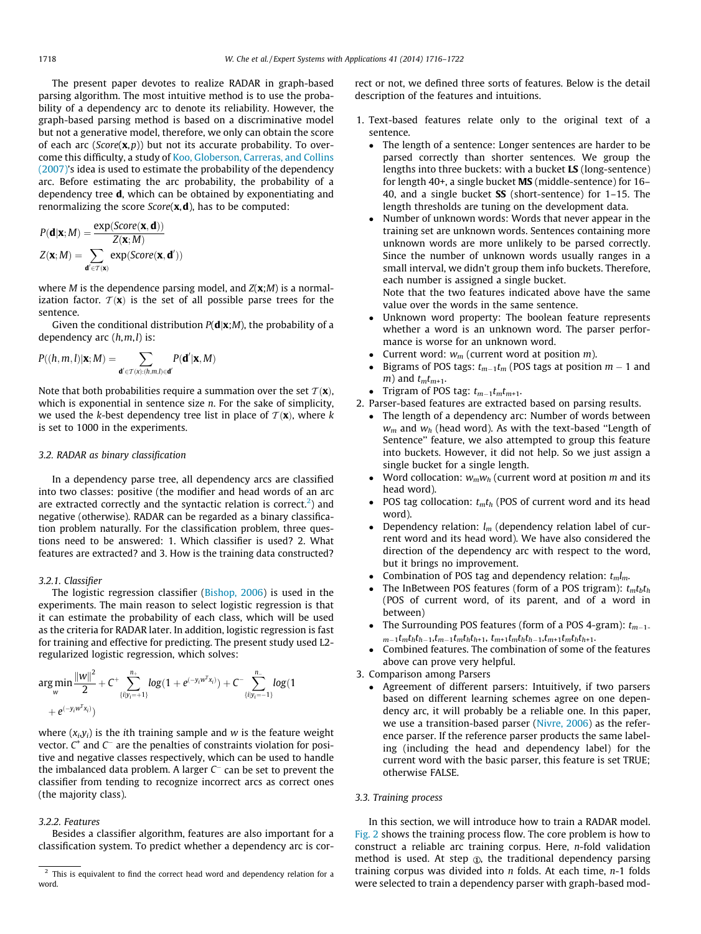<span id="page-2-0"></span>The present paper devotes to realize RADAR in graph-based parsing algorithm. The most intuitive method is to use the probability of a dependency arc to denote its reliability. However, the graph-based parsing method is based on a discriminative model but not a generative model, therefore, we only can obtain the score of each arc ( $Score(x, p)$ ) but not its accurate probability. To overcome this difficulty, a study of [Koo, Globerson, Carreras, and Collins](#page-6-0) [\(2007\)'](#page-6-0)s idea is used to estimate the probability of the dependency arc. Before estimating the arc probability, the probability of a dependency tree d, which can be obtained by exponentiating and renormalizing the score  $Score(x, d)$ , has to be computed:

$$
P(\mathbf{d}|\mathbf{x};M) = \frac{\exp(Score(\mathbf{x},\mathbf{d}))}{Z(\mathbf{x};M)}
$$

$$
Z(\mathbf{x};M) = \sum_{\mathbf{d}' \in T(\mathbf{x})} \exp(Score(\mathbf{x},\mathbf{d}'))
$$

where *M* is the dependence parsing model, and  $Z(x;M)$  is a normalization factor.  $T(\mathbf{x})$  is the set of all possible parse trees for the sentence.

Given the conditional distribution  $P(\mathbf{d}|\mathbf{x};M)$ , the probability of a dependency arc  $(h, m, l)$  is:

$$
P((h,m,l)|\mathbf{x};M)=\sum_{\mathbf{d}'\in \mathcal{T}(\mathbf{x}):(h,m,l)\in \mathbf{d}'}P(\mathbf{d}'|\mathbf{x},M)
$$

Note that both probabilities require a summation over the set  $\mathcal{T}(\mathbf{x})$ , which is exponential in sentence size *n*. For the sake of simplicity, we used the k-best dependency tree list in place of  $T(\mathbf{x})$ , where k is set to 1000 in the experiments.

# 3.2. RADAR as binary classification

In a dependency parse tree, all dependency arcs are classified into two classes: positive (the modifier and head words of an arc are extracted correctly and the syntactic relation is correct.<sup>2</sup>) and negative (otherwise). RADAR can be regarded as a binary classification problem naturally. For the classification problem, three questions need to be answered: 1. Which classifier is used? 2. What features are extracted? and 3. How is the training data constructed?

#### 3.2.1. Classifier

The logistic regression classifier ([Bishop, 2006\)](#page-5-0) is used in the experiments. The main reason to select logistic regression is that it can estimate the probability of each class, which will be used as the criteria for RADAR later. In addition, logistic regression is fast for training and effective for predicting. The present study used L2 regularized logistic regression, which solves:

$$
argmin_w \frac{\|w\|^2}{2} + C^+ \sum_{\{i|y_i = +1\}}^{n_+} log(1 + e^{(-y_iw^T x_i)}) + C^- \sum_{\{i|y_i = -1\}}^{n_-} log(1 + e^{(-y_iw^T x_i)})
$$

where  $(x_i, y_i)$  is the *i*th training sample and *w* is the feature weight vector.  $C^+$  and  $C^-$  are the penalties of constraints violation for positive and negative classes respectively, which can be used to handle the imbalanced data problem. A larger  $C^-$  can be set to prevent the classifier from tending to recognize incorrect arcs as correct ones (the majority class).

## 3.2.2. Features

Besides a classifier algorithm, features are also important for a classification system. To predict whether a dependency arc is correct or not, we defined three sorts of features. Below is the detail description of the features and intuitions.

- 1. Text-based features relate only to the original text of a sentence.
	- The length of a sentence: Longer sentences are harder to be parsed correctly than shorter sentences. We group the lengths into three buckets: with a bucket LS (long-sentence) for length 40+, a single bucket MS (middle-sentence) for 16– 40, and a single bucket  $SS$  (short-sentence) for 1–15. The length thresholds are tuning on the development data.
	- Number of unknown words: Words that never appear in the training set are unknown words. Sentences containing more unknown words are more unlikely to be parsed correctly. Since the number of unknown words usually ranges in a small interval, we didn't group them info buckets. Therefore, each number is assigned a single bucket.

Note that the two features indicated above have the same value over the words in the same sentence.

- Unknown word property: The boolean feature represents whether a word is an unknown word. The parser performance is worse for an unknown word.
- Current word:  $w_m$  (current word at position *m*).
- Bigrams of POS tags:  $t_{m-1}t_m$  (POS tags at position  $m 1$  and m) and  $t_m t_{m+1}$ .
- Trigram of POS tag:  $t_{m-1}t_mt_{m+1}$ .
- 2. Parser-based features are extracted based on parsing results.
	- The length of a dependency arc: Number of words between  $w_m$  and  $w_h$  (head word). As with the text-based "Length of Sentence'' feature, we also attempted to group this feature into buckets. However, it did not help. So we just assign a single bucket for a single length.
	- Word collocation:  $w_m w_h$  (current word at position  $m$  and its head word).
	- POS tag collocation:  $t_m t_h$  (POS of current word and its head word).
	- Dependency relation:  $l_m$  (dependency relation label of current word and its head word). We have also considered the direction of the dependency arc with respect to the word, but it brings no improvement.
	- Combination of POS tag and dependency relation:  $t_m l_m$ .
	- The InBetween POS features (form of a POS trigram):  $t_m t_b t_h$ (POS of current word, of its parent, and of a word in between)
	- The Surrounding POS features (form of a POS 4-gram):  $t_{m-1}$ .  $m_{-1}t_m t_h t_{h-1} t_{m-1} t_m t_h t_{h+1}$ ,  $t_{m+1}t_m t_h t_{h-1} t_m t_h t_{h+1}$ .
	- Combined features. The combination of some of the features above can prove very helpful.
- 3. Comparison among Parsers
	- Agreement of different parsers: Intuitively, if two parsers based on different learning schemes agree on one dependency arc, it will probably be a reliable one. In this paper, we use a transition-based parser [\(Nivre, 2006](#page-6-0)) as the reference parser. If the reference parser products the same labeling (including the head and dependency label) for the current word with the basic parser, this feature is set TRUE; otherwise FALSE.

#### 3.3. Training process

In this section, we will introduce how to train a RADAR model. [Fig. 2](#page-3-0) shows the training process flow. The core problem is how to construct a reliable arc training corpus. Here, n-fold validation method is used. At step  $\Phi$ , the traditional dependency parsing training corpus was divided into  $n$  folds. At each time,  $n-1$  folds were selected to train a dependency parser with graph-based mod-

 $\frac{2}{3}$  This is equivalent to find the correct head word and dependency relation for a word.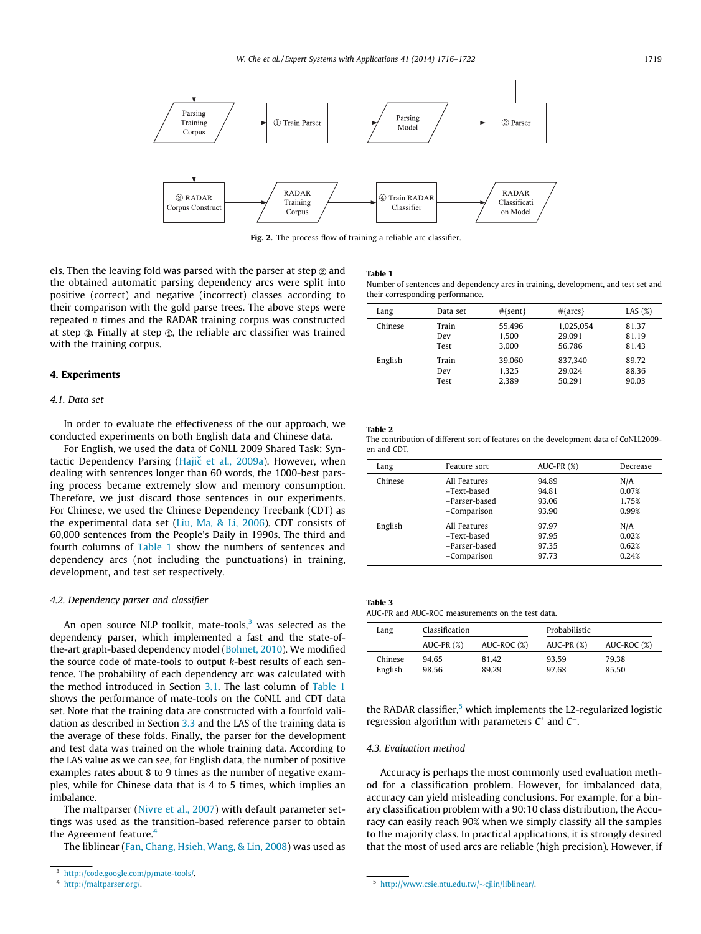<span id="page-3-0"></span>

Fig. 2. The process flow of training a reliable arc classifier.

els. Then the leaving fold was parsed with the parser at step  $\otimes$  and the obtained automatic parsing dependency arcs were split into positive (correct) and negative (incorrect) classes according to their comparison with the gold parse trees. The above steps were repeated n times and the RADAR training corpus was constructed at step  $\circledast$ . Finally at step  $\circledast$ , the reliable arc classifier was trained with the training corpus.

#### 4. Experiments

#### 4.1. Data set

In order to evaluate the effectiveness of the our approach, we conducted experiments on both English data and Chinese data.

For English, we used the data of CoNLL 2009 Shared Task: Syntactic Dependency Parsing (Hajič [et al., 2009a\)](#page-5-0). However, when dealing with sentences longer than 60 words, the 1000-best parsing process became extremely slow and memory consumption. Therefore, we just discard those sentences in our experiments. For Chinese, we used the Chinese Dependency Treebank (CDT) as the experimental data set [\(Liu, Ma, & Li, 2006\)](#page-6-0). CDT consists of 60,000 sentences from the People's Daily in 1990s. The third and fourth columns of Table 1 show the numbers of sentences and dependency arcs (not including the punctuations) in training, development, and test set respectively.

#### 4.2. Dependency parser and classifier

An open source NLP toolkit, mate-tools, $3$  was selected as the dependency parser, which implemented a fast and the state-ofthe-art graph-based dependency model ([Bohnet, 2010\)](#page-5-0). We modified the source code of mate-tools to output k-best results of each sentence. The probability of each dependency arc was calculated with the method introduced in Section [3.1](#page-1-0). The last column of Table 1 shows the performance of mate-tools on the CoNLL and CDT data set. Note that the training data are constructed with a fourfold validation as described in Section [3.3](#page-2-0) and the LAS of the training data is the average of these folds. Finally, the parser for the development and test data was trained on the whole training data. According to the LAS value as we can see, for English data, the number of positive examples rates about 8 to 9 times as the number of negative examples, while for Chinese data that is 4 to 5 times, which implies an imbalance.

The maltparser [\(Nivre et al., 2007\)](#page-6-0) with default parameter settings was used as the transition-based reference parser to obtain the Agreement feature.<sup>4</sup>

The liblinear [\(Fan, Chang, Hsieh, Wang, & Lin, 2008](#page-5-0)) was used as

#### Table 1

Number of sentences and dependency arcs in training, development, and test set and their corresponding performance.

| Lang    | Data set | $#{sent}$ | $# \{ \text{arcs} \}$ | LAS $(%)$ |
|---------|----------|-----------|-----------------------|-----------|
| Chinese | Train    | 55.496    | 1.025.054             | 81.37     |
|         | Dev      | 1.500     | 29.091                | 81.19     |
|         | Test     | 3.000     | 56.786                | 81.43     |
| English | Train    | 39.060    | 837.340               | 89.72     |
|         | Dev      | 1.325     | 29.024                | 88.36     |
|         | Test     | 2.389     | 50.291                | 90.03     |

# Table 2

The contribution of different sort of features on the development data of CoNLL2009 en and CDT.

| Lang    | Feature sort  | AUC-PR $(\%)$ | Decrease |
|---------|---------------|---------------|----------|
| Chinese | All Features  | 94.89         | N/A      |
|         | -Text-based   | 94.81         | 0.07%    |
|         | -Parser-based | 93.06         | 1.75%    |
|         | -Comparison   | 93.90         | 0.99%    |
| English | All Features  | 97.97         | N/A      |
|         | -Text-based   | 97.95         | 0.02%    |
|         | -Parser-based | 97.35         | 0.62%    |
|         | -Comparison   | 97.73         | 0.24%    |

| . | $\sim$ | $\sim$ |  |
|---|--------|--------|--|
|   |        |        |  |

AUC-PR and AUC-ROC measurements on the test data.

| Lang               | Classification |                |                | Probabilistic  |  |
|--------------------|----------------|----------------|----------------|----------------|--|
|                    | $AUC-PR(%)$    | AUC-ROC (%)    | AUC-PR $(\%)$  | AUC-ROC (%)    |  |
| Chinese<br>English | 94.65<br>98.56 | 81.42<br>89.29 | 93.59<br>97.68 | 79.38<br>85.50 |  |

the RADAR classifier, $5$  which implements the L2-regularized logistic regression algorithm with parameters  $C^+$  and  $C^-$ .

### 4.3. Evaluation method

Accuracy is perhaps the most commonly used evaluation method for a classification problem. However, for imbalanced data, accuracy can yield misleading conclusions. For example, for a binary classification problem with a 90:10 class distribution, the Accuracy can easily reach 90% when we simply classify all the samples to the majority class. In practical applications, it is strongly desired that the most of used arcs are reliable (high precision). However, if

4 <http://maltparser.org/>. The state of the state of the state of the state of the state of the state of the state of the state of the state of the state of the state of the state of the state of the state of the state of t

<sup>3</sup> [http://code.google.com/p/mate-tools/.](http://code.google.com/p/mate-tools/)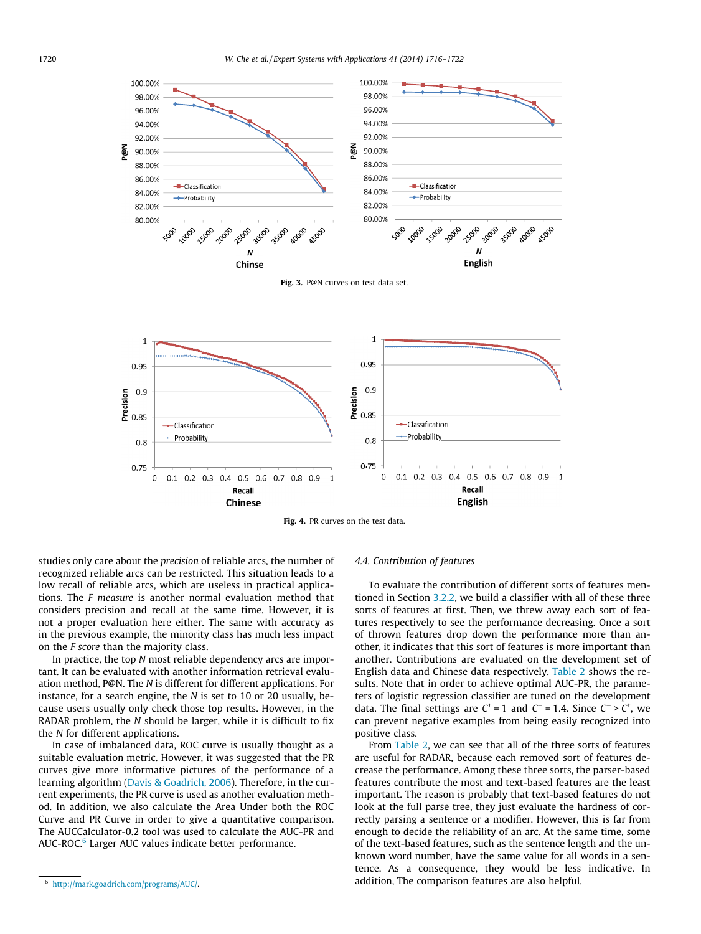<span id="page-4-0"></span>

Fig. 3. P@N curves on test data set.



Fig. 4. PR curves on the test data.

studies only care about the precision of reliable arcs, the number of recognized reliable arcs can be restricted. This situation leads to a low recall of reliable arcs, which are useless in practical applications. The F measure is another normal evaluation method that considers precision and recall at the same time. However, it is not a proper evaluation here either. The same with accuracy as in the previous example, the minority class has much less impact on the F score than the majority class.

In practice, the top N most reliable dependency arcs are important. It can be evaluated with another information retrieval evaluation method, P@N. The N is different for different applications. For instance, for a search engine, the N is set to 10 or 20 usually, because users usually only check those top results. However, in the RADAR problem, the N should be larger, while it is difficult to fix the N for different applications.

In case of imbalanced data, ROC curve is usually thought as a suitable evaluation metric. However, it was suggested that the PR curves give more informative pictures of the performance of a learning algorithm [\(Davis & Goadrich, 2006](#page-5-0)). Therefore, in the current experiments, the PR curve is used as another evaluation method. In addition, we also calculate the Area Under both the ROC Curve and PR Curve in order to give a quantitative comparison. The AUCCalculator-0.2 tool was used to calculate the AUC-PR and AUC-ROC.<sup>6</sup> Larger AUC values indicate better performance.

# 4.4. Contribution of features

To evaluate the contribution of different sorts of features mentioned in Section [3.2.2](#page-2-0), we build a classifier with all of these three sorts of features at first. Then, we threw away each sort of features respectively to see the performance decreasing. Once a sort of thrown features drop down the performance more than another, it indicates that this sort of features is more important than another. Contributions are evaluated on the development set of English data and Chinese data respectively. [Table 2](#page-3-0) shows the results. Note that in order to achieve optimal AUC-PR, the parameters of logistic regression classifier are tuned on the development data. The final settings are  $C^+$  = 1 and  $C^-$  = 1.4. Since  $C^-$  >  $C^+$ , we can prevent negative examples from being easily recognized into positive class.

From [Table 2,](#page-3-0) we can see that all of the three sorts of features are useful for RADAR, because each removed sort of features decrease the performance. Among these three sorts, the parser-based features contribute the most and text-based features are the least important. The reason is probably that text-based features do not look at the full parse tree, they just evaluate the hardness of correctly parsing a sentence or a modifier. However, this is far from enough to decide the reliability of an arc. At the same time, some of the text-based features, such as the sentence length and the unknown word number, have the same value for all words in a sentence. As a consequence, they would be less indicative. In addition, The comparison features are also helpful.

<sup>6</sup> [http://mark.goadrich.com/programs/AUC/.](http://mark.goadrich.com/programs/AUC/)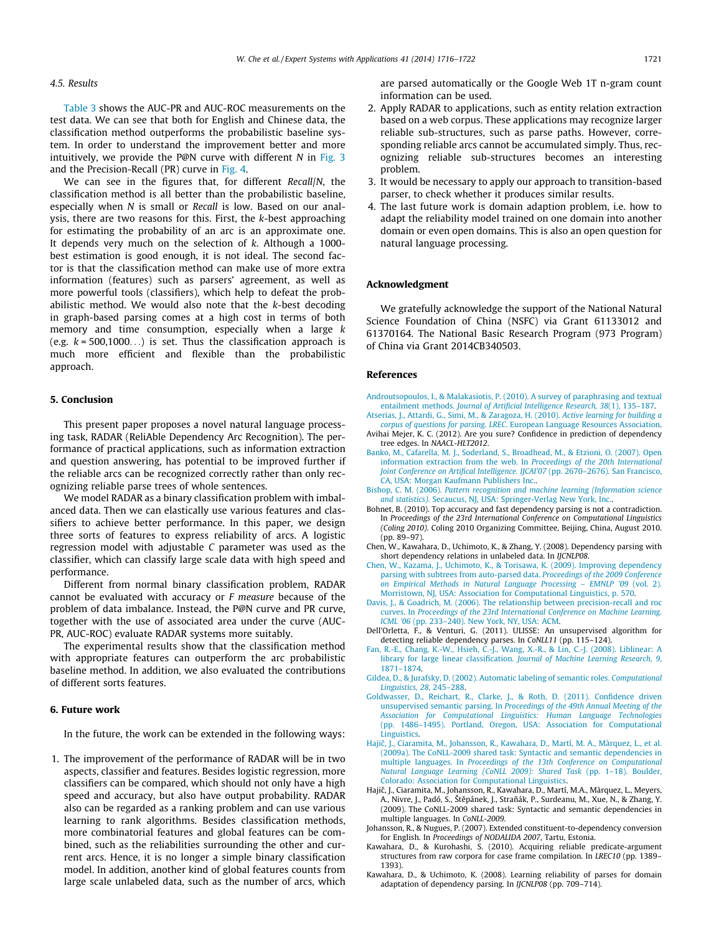#### <span id="page-5-0"></span>4.5. Results

[Table 3](#page-3-0) shows the AUC-PR and AUC-ROC measurements on the test data. We can see that both for English and Chinese data, the classification method outperforms the probabilistic baseline system. In order to understand the improvement better and more intuitively, we provide the P@N curve with different  $N$  in [Fig. 3](#page-4-0) and the Precision-Recall (PR) curve in [Fig. 4.](#page-4-0)

We can see in the figures that, for different Recall/N, the classification method is all better than the probabilistic baseline, especially when N is small or Recall is low. Based on our analysis, there are two reasons for this. First, the k-best approaching for estimating the probability of an arc is an approximate one. It depends very much on the selection of k. Although a 1000 best estimation is good enough, it is not ideal. The second factor is that the classification method can make use of more extra information (features) such as parsers' agreement, as well as more powerful tools (classifiers), which help to defeat the probabilistic method. We would also note that the k-best decoding in graph-based parsing comes at a high cost in terms of both memory and time consumption, especially when a large k (e.g.  $k = 500,1000...$ ) is set. Thus the classification approach is much more efficient and flexible than the probabilistic approach.

#### 5. Conclusion

This present paper proposes a novel natural language processing task, RADAR (ReliAble Dependency Arc Recognition). The performance of practical applications, such as information extraction and question answering, has potential to be improved further if the reliable arcs can be recognized correctly rather than only recognizing reliable parse trees of whole sentences.

We model RADAR as a binary classification problem with imbalanced data. Then we can elastically use various features and classifiers to achieve better performance. In this paper, we design three sorts of features to express reliability of arcs. A logistic regression model with adjustable C parameter was used as the classifier, which can classify large scale data with high speed and performance.

Different from normal binary classification problem, RADAR cannot be evaluated with accuracy or  $F$  measure because of the problem of data imbalance. Instead, the P@N curve and PR curve, together with the use of associated area under the curve (AUC-PR, AUC-ROC) evaluate RADAR systems more suitably.

The experimental results show that the classification method with appropriate features can outperform the arc probabilistic baseline method. In addition, we also evaluated the contributions of different sorts features.

### 6. Future work

In the future, the work can be extended in the following ways:

1. The improvement of the performance of RADAR will be in two aspects, classifier and features. Besides logistic regression, more classifiers can be compared, which should not only have a high speed and accuracy, but also have output probability. RADAR also can be regarded as a ranking problem and can use various learning to rank algorithms. Besides classification methods, more combinatorial features and global features can be combined, such as the reliabilities surrounding the other and current arcs. Hence, it is no longer a simple binary classification model. In addition, another kind of global features counts from large scale unlabeled data, such as the number of arcs, which are parsed automatically or the Google Web 1T n-gram count information can be used.

- 2. Apply RADAR to applications, such as entity relation extraction based on a web corpus. These applications may recognize larger reliable sub-structures, such as parse paths. However, corresponding reliable arcs cannot be accumulated simply. Thus, recognizing reliable sub-structures becomes an interesting problem.
- 3. It would be necessary to apply our approach to transition-based parser, to check whether it produces similar results.
- 4. The last future work is domain adaption problem, i.e. how to adapt the reliability model trained on one domain into another domain or even open domains. This is also an open question for natural language processing.

#### Acknowledgment

We gratefully acknowledge the support of the National Natural Science Foundation of China (NSFC) via Grant 61133012 and 61370164. The National Basic Research Program (973 Program) of China via Grant 2014CB340503.

#### References

- [Androutsopoulos, I., & Malakasiotis, P. \(2010\). A survey of paraphrasing and textual](http://refhub.elsevier.com/S0957-4174(13)00691-X/h0005) entailment methods. [Journal of Artificial Intelligence Research, 38](http://refhub.elsevier.com/S0957-4174(13)00691-X/h0005)(1), 135–187.
- [Atserias, J., Attardi, G., Simi, M., & Zaragoza, H. \(2010\).](http://refhub.elsevier.com/S0957-4174(13)00691-X/h0010) Active learning for building a corpus of questions for parsing. LREC[. European Language Resources Association.](http://refhub.elsevier.com/S0957-4174(13)00691-X/h0010)
- Avihai Mejer, K. C. (2012). Are you sure? Confidence in prediction of dependency tree edges. In NAACL-HLT2012.
- [Banko, M., Cafarella, M. J., Soderland, S., Broadhead, M., & Etzioni, O. \(2007\). Open](http://refhub.elsevier.com/S0957-4174(13)00691-X/h0015) [information extraction from the web. In](http://refhub.elsevier.com/S0957-4174(13)00691-X/h0015) Proceedings of the 20th International [Joint Conference on Artifical Intelligence. IJCAI'07](http://refhub.elsevier.com/S0957-4174(13)00691-X/h0015) (pp. 2670–2676). San Francisco, [CA, USA: Morgan Kaufmann Publishers Inc.](http://refhub.elsevier.com/S0957-4174(13)00691-X/h0015).
- Bishop, C. M. (2006). [Pattern recognition and machine learning \(Information science](http://refhub.elsevier.com/S0957-4174(13)00691-X/h0020) and statistics)[. Secaucus, NJ, USA: Springer-Verlag New York, Inc..](http://refhub.elsevier.com/S0957-4174(13)00691-X/h0020)
- Bohnet, B. (2010). Top accuracy and fast dependency parsing is not a contradiction. In Proceedings of the 23rd International Conference on Computational Linguistics (Coling 2010). Coling 2010 Organizing Committee, Beijing, China, August 2010. (pp. 89–97).
- Chen, W., Kawahara, D., Uchimoto, K., & Zhang, Y. (2008). Dependency parsing with short dependency relations in unlabeled data. In IJCNLP08.
- [Chen, W., Kazama, J., Uchimoto, K., & Torisawa, K. \(2009\). Improving dependency](http://refhub.elsevier.com/S0957-4174(13)00691-X/h0025) [parsing with subtrees from auto-parsed data.](http://refhub.elsevier.com/S0957-4174(13)00691-X/h0025) Proceedings of the 2009 Conference [on Empirical Methods in Natural Language Processing – EMNLP '09](http://refhub.elsevier.com/S0957-4174(13)00691-X/h0025) (vol. 2). [Morristown, NJ, USA: Association for Computational Linguistics, p. 570](http://refhub.elsevier.com/S0957-4174(13)00691-X/h0025).
- [Davis, J., & Goadrich, M. \(2006\). The relationship between precision-recall and roc](http://refhub.elsevier.com/S0957-4174(13)00691-X/h0030) curves. In [Proceedings of the 23rd International Conference on Machine Learning.](http://refhub.elsevier.com/S0957-4174(13)00691-X/h0030) ICML '06 [\(pp. 233–240\). New York, NY, USA: ACM](http://refhub.elsevier.com/S0957-4174(13)00691-X/h0030).
- Dell'Orletta, F., & Venturi, G. (2011). ULISSE: An unsupervised algorithm for detecting reliable dependency parses. In CoNLL11 (pp. 115–124).
- [Fan, R.-E., Chang, K.-W., Hsieh, C.-J., Wang, X.-R., & Lin, C.-J. \(2008\). Liblinear: A](http://refhub.elsevier.com/S0957-4174(13)00691-X/h0035) library for large linear classification. [Journal of Machine Learning Research, 9](http://refhub.elsevier.com/S0957-4174(13)00691-X/h0035), [1871–1874.](http://refhub.elsevier.com/S0957-4174(13)00691-X/h0035)
- [Gildea, D., & Jurafsky, D. \(2002\). Automatic labeling of semantic roles.](http://refhub.elsevier.com/S0957-4174(13)00691-X/h0040) Computational [Linguistics, 28](http://refhub.elsevier.com/S0957-4174(13)00691-X/h0040), 245–288.
- [Goldwasser, D., Reichart, R., Clarke, J., & Roth, D. \(2011\). Confidence driven](http://refhub.elsevier.com/S0957-4174(13)00691-X/h0045) unsupervised semantic parsing. In [Proceedings of the 49th Annual Meeting of the](http://refhub.elsevier.com/S0957-4174(13)00691-X/h0045) [Association for Computational Linguistics: Human Language Technologies](http://refhub.elsevier.com/S0957-4174(13)00691-X/h0045) [\(pp. 1486–1495\). Portland, Oregon, USA: Association for Computational](http://refhub.elsevier.com/S0957-4174(13)00691-X/h0045) [Linguistics.](http://refhub.elsevier.com/S0957-4174(13)00691-X/h0045)
- Hajič, J., Ciaramita, M., Johansson, R., Kawahara, D., Martí, M. A., Màrquez, L., et al. [\(2009a\). The CoNLL-2009 shared task: Syntactic and semantic dependencies in](http://refhub.elsevier.com/S0957-4174(13)00691-X/h0050) multiple languages. In [Proceedings of the 13th Conference on Computational](http://refhub.elsevier.com/S0957-4174(13)00691-X/h0050) [Natural Language Learning \(CoNLL 2009\): Shared Task](http://refhub.elsevier.com/S0957-4174(13)00691-X/h0050) (pp. 1–18). Boulder, [Colorado: Association for Computational Linguistics](http://refhub.elsevier.com/S0957-4174(13)00691-X/h0050).
- Hajič, J., Ciaramita, M., Johansson, R., Kawahara, D., Martí, M.A., Màrquez, L., Meyers, A., Nivre, J., Padó, S., Štěpánek, J., Straňák, P., Surdeanu, M., Xue, N., & Zhang, Y. (2009). The CoNLL-2009 shared task: Syntactic and semantic dependencies in multiple languages. In CoNLL-2009.
- Johansson, R., & Nugues, P. (2007). Extended constituent-to-dependency conversion for English. In Proceedings of NODALIDA 2007, Tartu, Estonia.
- Kawahara, D., & Kurohashi, S. (2010). Acquiring reliable predicate-argument structures from raw corpora for case frame compilation. In LREC10 (pp. 1389– 1393).
- Kawahara, D., & Uchimoto, K. (2008). Learning reliability of parses for domain adaptation of dependency parsing. In IJCNLP08 (pp. 709–714).